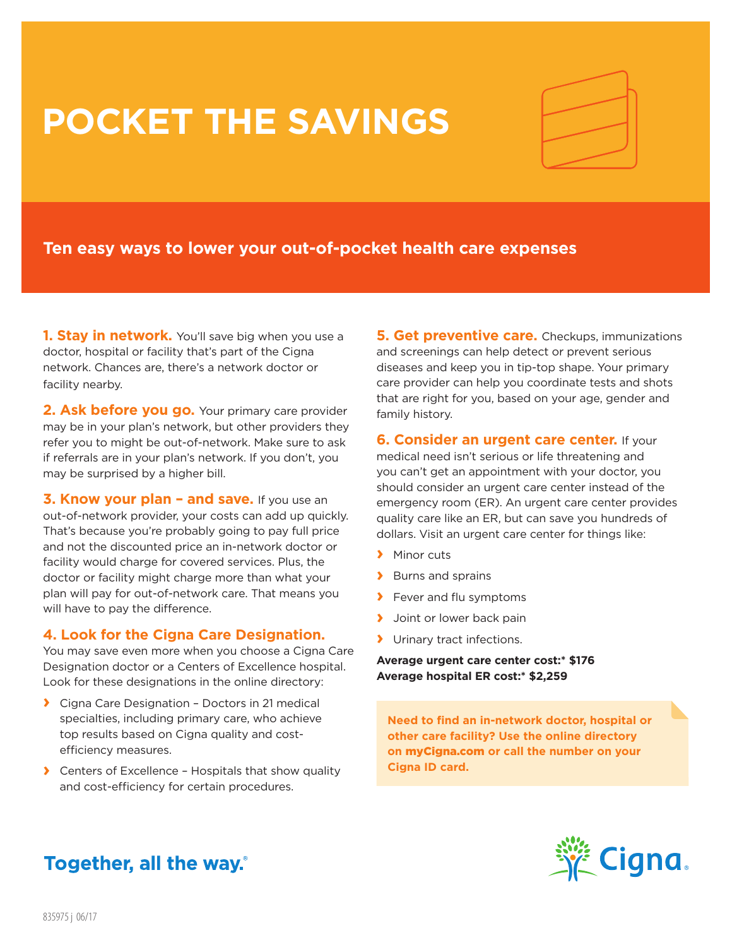# **POCKET THE SAVINGS**



# **Ten easy ways to lower your out-of-pocket health care expenses**

**1. Stay in network.** You'll save big when you use a doctor, hospital or facility that's part of the Cigna network. Chances are, there's a network doctor or facility nearby.

**2. Ask before you go.** Your primary care provider may be in your plan's network, but other providers they refer you to might be out-of-network. Make sure to ask if referrals are in your plan's network. If you don't, you may be surprised by a higher bill.

**3. Know your plan – and save.** If you use an out-of-network provider, your costs can add up quickly. That's because you're probably going to pay full price and not the discounted price an in-network doctor or facility would charge for covered services. Plus, the doctor or facility might charge more than what your plan will pay for out-of-network care. That means you will have to pay the difference.

# **4. Look for the Cigna Care Designation.**

You may save even more when you choose a Cigna Care Designation doctor or a Centers of Excellence hospital. Look for these designations in the online directory:

- **›** Cigna Care Designation Doctors in 21 medical specialties, including primary care, who achieve top results based on Cigna quality and costefficiency measures.
- **›** Centers of Excellence Hospitals that show quality and cost-efficiency for certain procedures.

**5. Get preventive care.** Checkups, immunizations and screenings can help detect or prevent serious diseases and keep you in tip-top shape. Your primary care provider can help you coordinate tests and shots that are right for you, based on your age, gender and family history.

**6. Consider an urgent care center.** If your

medical need isn't serious or life threatening and you can't get an appointment with your doctor, you should consider an urgent care center instead of the emergency room (ER). An urgent care center provides quality care like an ER, but can save you hundreds of dollars. Visit an urgent care center for things like:

- **›** Minor cuts
- **›** Burns and sprains
- **›** Fever and flu symptoms
- **›** Joint or lower back pain
- **›** Urinary tract infections.

**Average urgent care center cost:\* \$176 Average hospital ER cost:\* \$2,259**

**Need to find an in-network doctor, hospital or other care facility? Use the online directory on** myCigna.com **or call the number on your Cigna ID card.**



# Together, all the way.